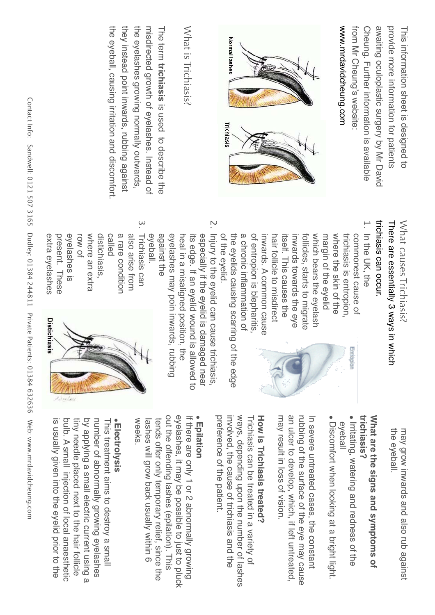| Contact Info:<br>Sandwell: 0121 507 3165 | they instead point inwards, rubbing against<br>the eyeball, causing irritation and discomfort                                                                                                                                                                                                                                                                                                                                                                                                                                                                                                                                                                                                                                                                                                                                                                                                                                    | the eyelashes growing normally outwards,<br>misdirected growth of eyelashes. Instead of<br>What is Trichiasis?<br>The term trichiasis is used to descripe the                                                                                  | Normal lashes<br>Trichiasis                                                                                                                                                    |                                                                                                                                                                                                                | www.mrdavidcheung.com<br>from Mr Cheung's website:<br>awaiting oculoplastic surgery by Mr David<br>Cheung. Further information is available           | provide more information for patients<br>This information sheet is designed to |
|------------------------------------------|----------------------------------------------------------------------------------------------------------------------------------------------------------------------------------------------------------------------------------------------------------------------------------------------------------------------------------------------------------------------------------------------------------------------------------------------------------------------------------------------------------------------------------------------------------------------------------------------------------------------------------------------------------------------------------------------------------------------------------------------------------------------------------------------------------------------------------------------------------------------------------------------------------------------------------|------------------------------------------------------------------------------------------------------------------------------------------------------------------------------------------------------------------------------------------------|--------------------------------------------------------------------------------------------------------------------------------------------------------------------------------|----------------------------------------------------------------------------------------------------------------------------------------------------------------------------------------------------------------|-------------------------------------------------------------------------------------------------------------------------------------------------------|--------------------------------------------------------------------------------|
| Dudley: 01384 244811                     | trichiasis can occur.<br>$\tilde{\phantom{a}}$<br>$\tilde{\circ}$<br>There are essentially 3 ways in which<br>In the UK, the<br>Injury to the eyelid cause trichiasis,<br>also arise from<br>Trichiasis can<br>against the<br>eyelashes may poin inwards, rubbing<br>of the eyelid.<br>the eyelids causing scarring of<br>of entropion is blepharitis,<br>which bears the eyelash<br>margin of the eyelid<br>where the skin of the<br>trichiasis is entropion,<br>eyelashes is<br>where an extra<br>distichiasis<br>a rare condition<br>eyeball.<br>its edge. If an eyelid wound is<br>a chronic inflammation of<br>inwards. A common cause<br>follicles, starts to migrate<br>extra eyelashes<br>present. These<br>row of<br>called<br>heal in a misaligned position, the<br>especially if the eyelid is damaged near<br>hair follicle to misdirect<br>itself. This causes the<br>inwards towards the eye<br>commonest cause of |                                                                                                                                                                                                                                                |                                                                                                                                                                                |                                                                                                                                                                                                                |                                                                                                                                                       |                                                                                |
| Private Patients: 01384 632636           | <b>Distichiasis</b>                                                                                                                                                                                                                                                                                                                                                                                                                                                                                                                                                                                                                                                                                                                                                                                                                                                                                                              |                                                                                                                                                                                                                                                | allowed to<br>the edge                                                                                                                                                         |                                                                                                                                                                                                                | Entropion                                                                                                                                             | What causes Trichiasis?                                                        |
| Web: www.mrdavidcheung.com               | is usually given into the eyelid prior to the<br>bulp. A small injection of local anaesthetic<br>tiny needle placed next to the hair follicle<br>by applying a small electric current using a<br>number of abnormally growing eyelashes<br>·Electrolysis<br>This treatment aims to destroy a small                                                                                                                                                                                                                                                                                                                                                                                                                                                                                                                                                                                                                               | out the offending lashes (epilation). This<br>eyelashes, it may be possible to just to pluck<br>If there are only 1 or 2 abnormally growing<br>weeks<br>tends offer only temporary relief, since the<br>lashes will grow back usually within 6 | involved, the cause of trichiasis and the<br>ways, depending upon the number of lashes<br>preference of the patient.<br>Trichiasis can be treated in a variety of<br>Epilation | <b>How is Trichiasis treated?</b><br>may result in loss of vision.<br>an ulcer to develop, which, if left untreated,<br>rubbing of the surface of the eye may cause<br>In severe untreated cases, the constant | trichiasis?<br>What are the signs and symptoms of<br>Irritating, watering and redness of the<br>Discomfort when looking at a bright light.<br>eyeball | the eyeball.<br>may grow inwards and also rub against                          |

 $\equiv$ 

Q 2

),,.

lacı IIII').<br>Iacı IIII').

!" #

well. 012

 $\frac{1}{\sqrt{2}}$ 

!2%

 $\overline{M}$   $\overline{M}$ 

ley. 01